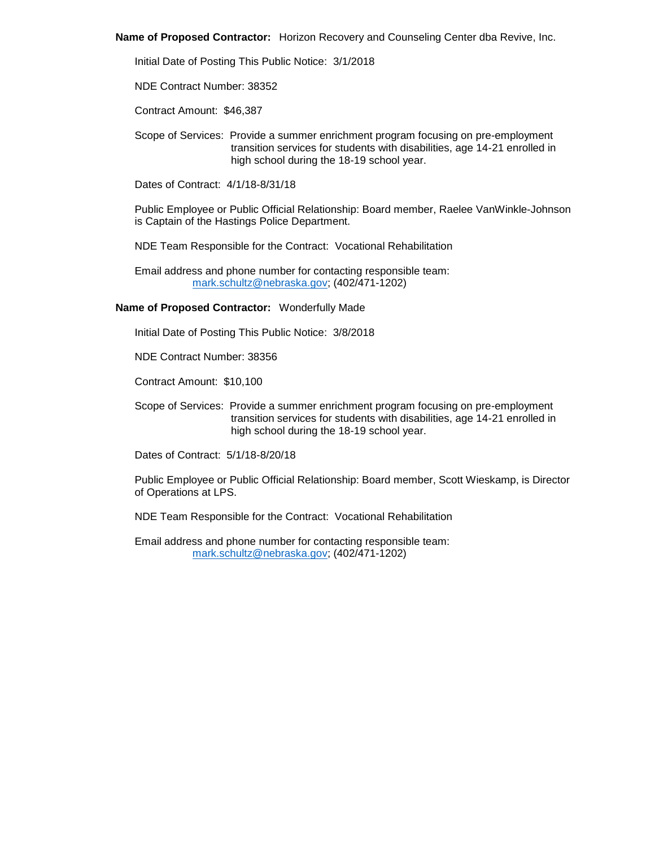**Name of Proposed Contractor:** Horizon Recovery and Counseling Center dba Revive, Inc.

Initial Date of Posting This Public Notice: 3/1/2018

NDE Contract Number: 38352

Contract Amount: \$46,387

Scope of Services: Provide a summer enrichment program focusing on pre-employment transition services for students with disabilities, age 14-21 enrolled in high school during the 18-19 school year.

Dates of Contract: 4/1/18-8/31/18

Public Employee or Public Official Relationship: Board member, Raelee VanWinkle-Johnson is Captain of the Hastings Police Department.

NDE Team Responsible for the Contract: Vocational Rehabilitation

Email address and phone number for contacting responsible team: [mark.schultz@nebraska.gov;](mailto:mark.schultz@nebraska.gov) (402/471-1202)

# **Name of Proposed Contractor:** Wonderfully Made

Initial Date of Posting This Public Notice: 3/8/2018

NDE Contract Number: 38356

Contract Amount: \$10,100

Scope of Services: Provide a summer enrichment program focusing on pre-employment transition services for students with disabilities, age 14-21 enrolled in high school during the 18-19 school year.

Dates of Contract: 5/1/18-8/20/18

Public Employee or Public Official Relationship: Board member, Scott Wieskamp, is Director of Operations at LPS.

NDE Team Responsible for the Contract: Vocational Rehabilitation

Email address and phone number for contacting responsible team: [mark.schultz@nebraska.gov;](mailto:mark.schultz@nebraska.gov) (402/471-1202)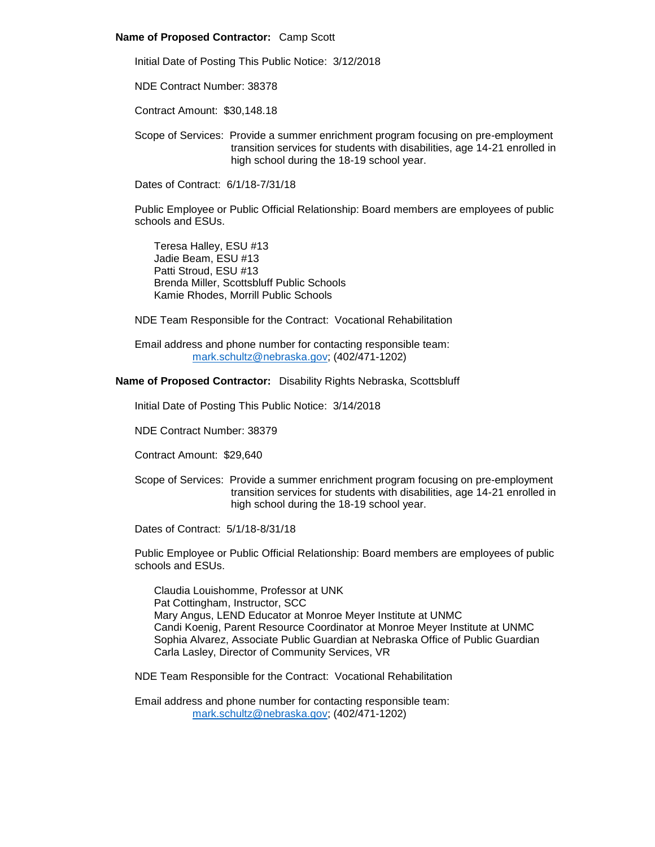#### **Name of Proposed Contractor:** Camp Scott

Initial Date of Posting This Public Notice: 3/12/2018

NDE Contract Number: 38378

Contract Amount: \$30,148.18

Scope of Services: Provide a summer enrichment program focusing on pre-employment transition services for students with disabilities, age 14-21 enrolled in high school during the 18-19 school year.

Dates of Contract: 6/1/18-7/31/18

Public Employee or Public Official Relationship: Board members are employees of public schools and ESUs.

Teresa Halley, ESU #13 Jadie Beam, ESU #13 Patti Stroud, ESU #13 Brenda Miller, Scottsbluff Public Schools Kamie Rhodes, Morrill Public Schools

NDE Team Responsible for the Contract: Vocational Rehabilitation

Email address and phone number for contacting responsible team: [mark.schultz@nebraska.gov;](mailto:mark.schultz@nebraska.gov) (402/471-1202)

# **Name of Proposed Contractor:** Disability Rights Nebraska, Scottsbluff

Initial Date of Posting This Public Notice: 3/14/2018

NDE Contract Number: 38379

Contract Amount: \$29,640

Scope of Services: Provide a summer enrichment program focusing on pre-employment transition services for students with disabilities, age 14-21 enrolled in high school during the 18-19 school year.

Dates of Contract: 5/1/18-8/31/18

Public Employee or Public Official Relationship: Board members are employees of public schools and ESUs.

Claudia Louishomme, Professor at UNK Pat Cottingham, Instructor, SCC Mary Angus, LEND Educator at Monroe Meyer Institute at UNMC Candi Koenig, Parent Resource Coordinator at Monroe Meyer Institute at UNMC Sophia Alvarez, Associate Public Guardian at Nebraska Office of Public Guardian Carla Lasley, Director of Community Services, VR

NDE Team Responsible for the Contract: Vocational Rehabilitation

Email address and phone number for contacting responsible team: [mark.schultz@nebraska.gov;](mailto:mark.schultz@nebraska.gov) (402/471-1202)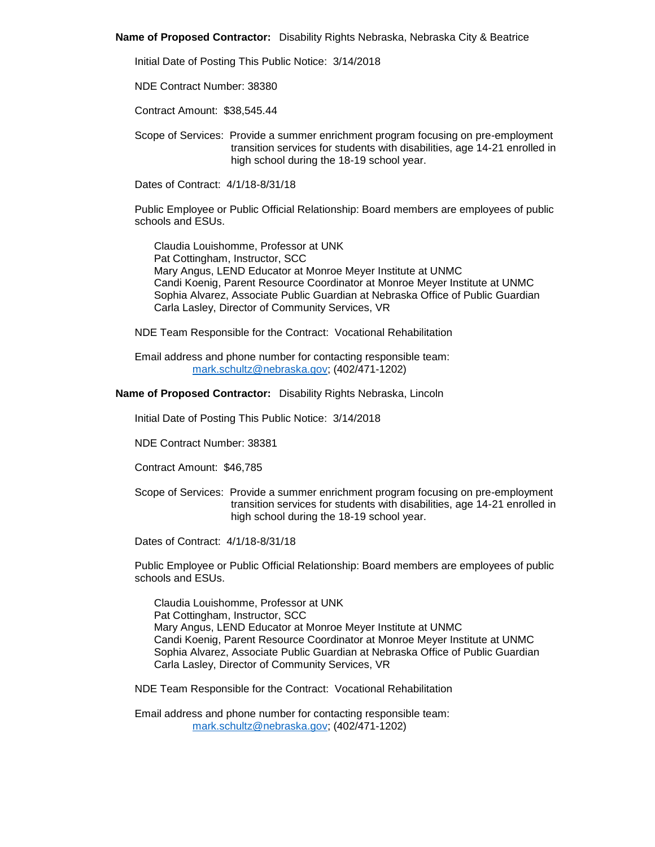**Name of Proposed Contractor:** Disability Rights Nebraska, Nebraska City & Beatrice

Initial Date of Posting This Public Notice: 3/14/2018

NDE Contract Number: 38380

Contract Amount: \$38,545.44

Scope of Services: Provide a summer enrichment program focusing on pre-employment transition services for students with disabilities, age 14-21 enrolled in high school during the 18-19 school year.

Dates of Contract: 4/1/18-8/31/18

Public Employee or Public Official Relationship: Board members are employees of public schools and ESUs.

Claudia Louishomme, Professor at UNK Pat Cottingham, Instructor, SCC Mary Angus, LEND Educator at Monroe Meyer Institute at UNMC Candi Koenig, Parent Resource Coordinator at Monroe Meyer Institute at UNMC Sophia Alvarez, Associate Public Guardian at Nebraska Office of Public Guardian Carla Lasley, Director of Community Services, VR

NDE Team Responsible for the Contract: Vocational Rehabilitation

Email address and phone number for contacting responsible team: [mark.schultz@nebraska.gov;](mailto:mark.schultz@nebraska.gov) (402/471-1202)

# **Name of Proposed Contractor:** Disability Rights Nebraska, Lincoln

Initial Date of Posting This Public Notice: 3/14/2018

NDE Contract Number: 38381

Contract Amount: \$46,785

Scope of Services: Provide a summer enrichment program focusing on pre-employment transition services for students with disabilities, age 14-21 enrolled in high school during the 18-19 school year.

Dates of Contract: 4/1/18-8/31/18

Public Employee or Public Official Relationship: Board members are employees of public schools and ESUs.

Claudia Louishomme, Professor at UNK Pat Cottingham, Instructor, SCC Mary Angus, LEND Educator at Monroe Meyer Institute at UNMC Candi Koenig, Parent Resource Coordinator at Monroe Meyer Institute at UNMC Sophia Alvarez, Associate Public Guardian at Nebraska Office of Public Guardian Carla Lasley, Director of Community Services, VR

NDE Team Responsible for the Contract: Vocational Rehabilitation

Email address and phone number for contacting responsible team: [mark.schultz@nebraska.gov;](mailto:mark.schultz@nebraska.gov) (402/471-1202)